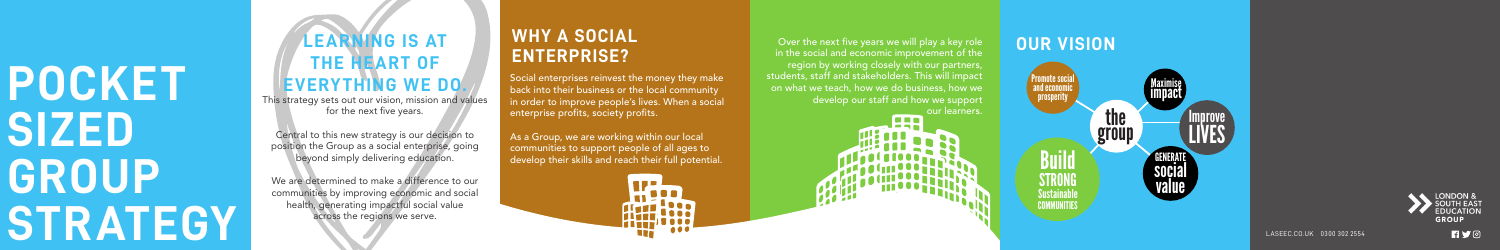LASEEC.CO.UK 0300 302 2554





**RYO** 

Central to this new strategy is our decision to position the Group as a social enterprise, going beyond simply delivering education.

## **LEARNING IS AT THE HEART OF EVERYTHING WE DO.**

This strategy sets out our vision, mission and values for the next five years.

Over the next five years we will play a key role in the social and economic improvement of the region by working closely with our partners, students, staff and stakeholders. This will impact on what we teach, how we do business, how we develop our staff and how we support ur learners.

l o o n

We are determined to make a difference to our communities by improving economic and social health, generating impactful social value across the regions we serve.

Social enterprises reinvest the money they make back into their business or the local community in order to improve people's lives. When a social enterprise profits, society profits.

As a Group, we are working within our local communities to support people of all ages to develop their skills and reach their full potential.

#### **WHY A SOCIAL ENTERPRISE?**

#### **OUR VISION**

# **POCKET SIZED GROUP STRATEGY**